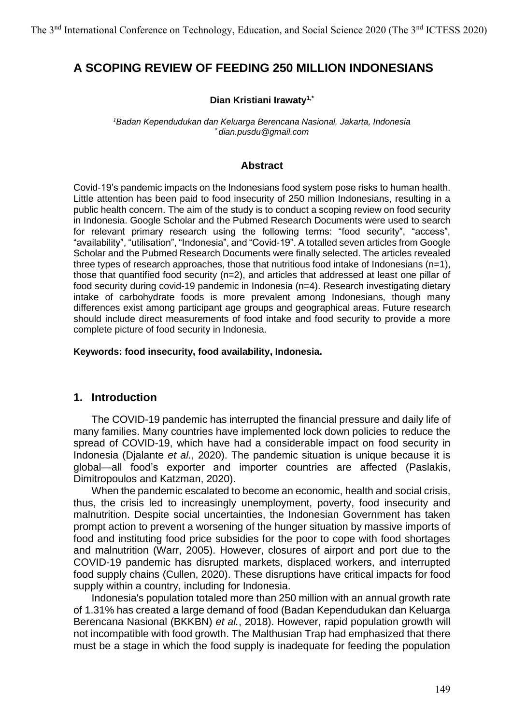# **A SCOPING REVIEW OF FEEDING 250 MILLION INDONESIANS**

### **Dian Kristiani Irawaty1,\***

*<sup>1</sup>Badan Kependudukan dan Keluarga Berencana Nasional, Jakarta, Indonesia \* dian.pusdu@gmail.com*

#### **Abstract**

Covid-19's pandemic impacts on the Indonesians food system pose risks to human health. Little attention has been paid to food insecurity of 250 million Indonesians, resulting in a public health concern. The aim of the study is to conduct a scoping review on food security in Indonesia. Google Scholar and the Pubmed Research Documents were used to search for relevant primary research using the following terms: "food security", "access", "availability", "utilisation", "Indonesia", and "Covid-19". A totalled seven articles from Google Scholar and the Pubmed Research Documents were finally selected. The articles revealed three types of research approaches, those that nutritious food intake of Indonesians  $(n=1)$ , those that quantified food security (n=2), and articles that addressed at least one pillar of food security during covid-19 pandemic in Indonesia (n=4). Research investigating dietary intake of carbohydrate foods is more prevalent among Indonesians, though many differences exist among participant age groups and geographical areas. Future research should include direct measurements of food intake and food security to provide a more complete picture of food security in Indonesia.

#### **Keywords: food insecurity, food availability, Indonesia.**

### **1. Introduction**

The COVID-19 pandemic has interrupted the financial pressure and daily life of many families. Many countries have implemented lock down policies to reduce the spread of COVID-19, which have had a considerable impact on food security in Indonesia (Djalante *et al.*, 2020). The pandemic situation is unique because it is global—all food's exporter and importer countries are affected (Paslakis, Dimitropoulos and Katzman, 2020).

When the pandemic escalated to become an economic, health and social crisis, thus, the crisis led to increasingly unemployment, poverty, food insecurity and malnutrition. Despite social uncertainties, the Indonesian Government has taken prompt action to prevent a worsening of the hunger situation by massive imports of food and instituting food price subsidies for the poor to cope with food shortages and malnutrition (Warr, 2005). However, closures of airport and port due to the COVID-19 pandemic has disrupted markets, displaced workers, and interrupted food supply chains (Cullen, 2020). These disruptions have critical impacts for food supply within a country, including for Indonesia.

Indonesia's population totaled more than 250 million with an annual growth rate of 1.31% has created a large demand of food (Badan Kependudukan dan Keluarga Berencana Nasional (BKKBN) *et al.*, 2018). However, rapid population growth will not incompatible with food growth. The Malthusian Trap had emphasized that there must be a stage in which the food supply is inadequate for feeding the population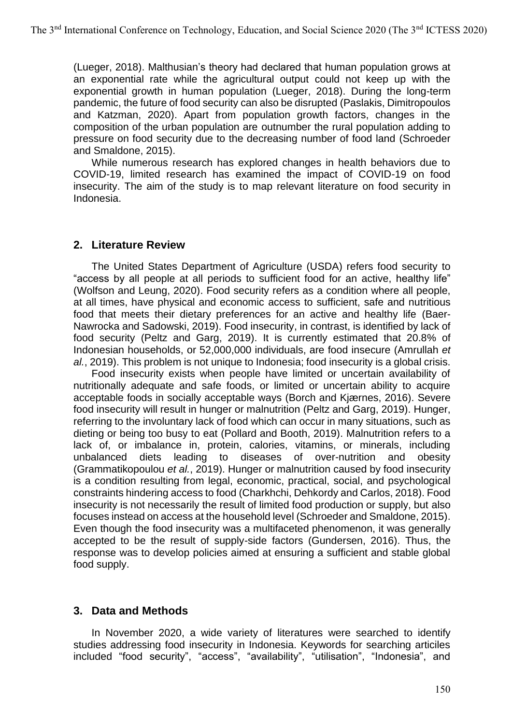(Lueger, 2018). Malthusian's theory had declared that human population grows at an exponential rate while the agricultural output could not keep up with the exponential growth in human population (Lueger, 2018). During the long-term pandemic, the future of food security can also be disrupted (Paslakis, Dimitropoulos and Katzman, 2020). Apart from population growth factors, changes in the composition of the urban population are outnumber the rural population adding to pressure on food security due to the decreasing number of food land (Schroeder and Smaldone, 2015).

While numerous research has explored changes in health behaviors due to COVID-19, limited research has examined the impact of COVID-19 on food insecurity. The aim of the study is to map relevant literature on food security in Indonesia.

# **2. Literature Review**

The United States Department of Agriculture (USDA) refers food security to "access by all people at all periods to sufficient food for an active, healthy life" (Wolfson and Leung, 2020). Food security refers as a condition where all people, at all times, have physical and economic access to sufficient, safe and nutritious food that meets their dietary preferences for an active and healthy life (Baer-Nawrocka and Sadowski, 2019). Food insecurity, in contrast, is identified by lack of food security (Peltz and Garg, 2019). It is currently estimated that 20.8% of Indonesian households, or 52,000,000 individuals, are food insecure (Amrullah *et al.*, 2019). This problem is not unique to Indonesia; food insecurity is a global crisis.

Food insecurity exists when people have limited or uncertain availability of nutritionally adequate and safe foods, or limited or uncertain ability to acquire acceptable foods in socially acceptable ways (Borch and Kjærnes, 2016). Severe food insecurity will result in hunger or malnutrition (Peltz and Garg, 2019). Hunger, referring to the involuntary lack of food which can occur in many situations, such as dieting or being too busy to eat (Pollard and Booth, 2019). Malnutrition refers to a lack of, or imbalance in, protein, calories, vitamins, or minerals, including unbalanced diets leading to diseases of over-nutrition and obesity (Grammatikopoulou *et al.*, 2019). Hunger or malnutrition caused by food insecurity is a condition resulting from legal, economic, practical, social, and psychological constraints hindering access to food (Charkhchi, Dehkordy and Carlos, 2018). Food insecurity is not necessarily the result of limited food production or supply, but also focuses instead on access at the household level (Schroeder and Smaldone, 2015). Even though the food insecurity was a multifaceted phenomenon, it was generally accepted to be the result of supply-side factors (Gundersen, 2016). Thus, the response was to develop policies aimed at ensuring a sufficient and stable global food supply.

## **3. Data and Methods**

In November 2020, a wide variety of literatures were searched to identify studies addressing food insecurity in Indonesia. Keywords for searching articiles included "food security", "access", "availability", "utilisation", "Indonesia", and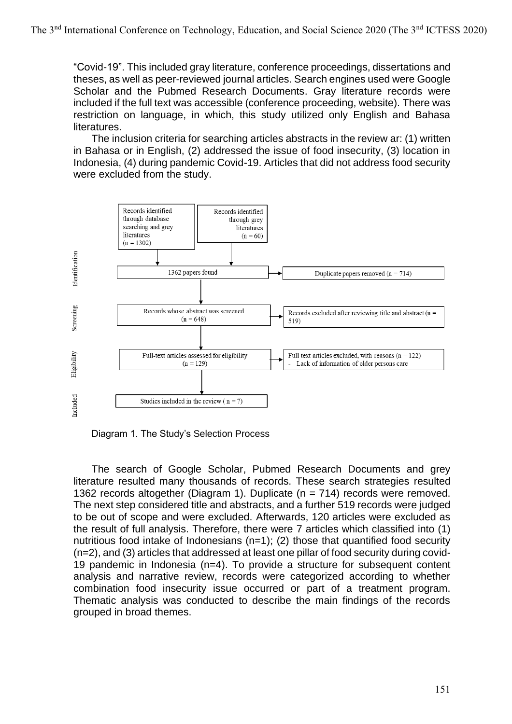"Covid-19". This included gray literature, conference proceedings, dissertations and theses, as well as peer-reviewed journal articles. Search engines used were Google Scholar and the Pubmed Research Documents. Gray literature records were included if the full text was accessible (conference proceeding, website). There was restriction on language, in which, this study utilized only English and Bahasa literatures.

The inclusion criteria for searching articles abstracts in the review ar: (1) written in Bahasa or in English, (2) addressed the issue of food insecurity, (3) location in Indonesia, (4) during pandemic Covid-19. Articles that did not address food security were excluded from the study.



Diagram 1. The Study's Selection Process

The search of Google Scholar, Pubmed Research Documents and grey literature resulted many thousands of records. These search strategies resulted 1362 records altogether (Diagram 1). Duplicate (n = 714) records were removed. The next step considered title and abstracts, and a further 519 records were judged to be out of scope and were excluded. Afterwards, 120 articles were excluded as the result of full analysis. Therefore, there were 7 articles which classified into (1) nutritious food intake of Indonesians  $(n=1)$ ; (2) those that quantified food security (n=2), and (3) articles that addressed at least one pillar of food security during covid-19 pandemic in Indonesia (n=4). To provide a structure for subsequent content analysis and narrative review, records were categorized according to whether combination food insecurity issue occurred or part of a treatment program. Thematic analysis was conducted to describe the main findings of the records grouped in broad themes.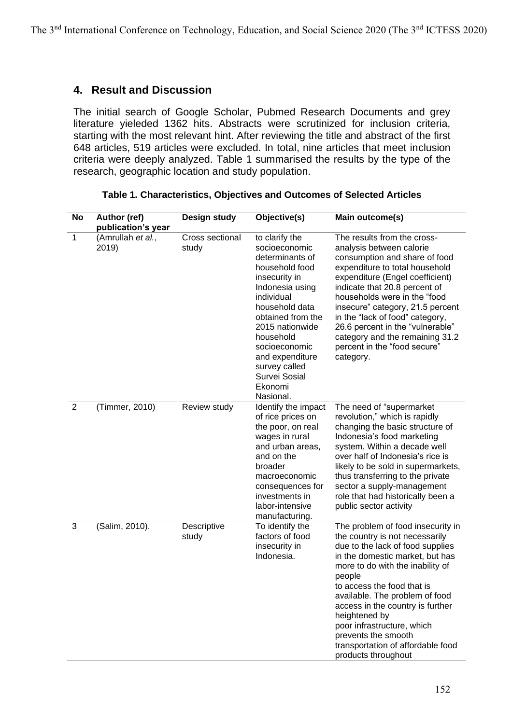# **4. Result and Discussion**

The initial search of Google Scholar, Pubmed Research Documents and grey literature yieleded 1362 hits. Abstracts were scrutinized for inclusion criteria, starting with the most relevant hint. After reviewing the title and abstract of the first 648 articles, 519 articles were excluded. In total, nine articles that meet inclusion criteria were deeply analyzed. Table 1 summarised the results by the type of the research, geographic location and study population.

| <b>No</b>      | Author (ref)<br>publication's year | <b>Design study</b>      | Objective(s)                                                                                                                                                                                                                                                                                | Main outcome(s)                                                                                                                                                                                                                                                                                                                                                                                                                |
|----------------|------------------------------------|--------------------------|---------------------------------------------------------------------------------------------------------------------------------------------------------------------------------------------------------------------------------------------------------------------------------------------|--------------------------------------------------------------------------------------------------------------------------------------------------------------------------------------------------------------------------------------------------------------------------------------------------------------------------------------------------------------------------------------------------------------------------------|
| $\mathbf{1}$   | (Amrullah et al.,<br>2019)         | Cross sectional<br>study | to clarify the<br>socioeconomic<br>determinants of<br>household food<br>insecurity in<br>Indonesia using<br>individual<br>household data<br>obtained from the<br>2015 nationwide<br>household<br>socioeconomic<br>and expenditure<br>survey called<br>Survei Sosial<br>Ekonomi<br>Nasional. | The results from the cross-<br>analysis between calorie<br>consumption and share of food<br>expenditure to total household<br>expenditure (Engel coefficient)<br>indicate that 20.8 percent of<br>households were in the "food<br>insecure" category, 21.5 percent<br>in the "lack of food" category,<br>26.6 percent in the "vulnerable"<br>category and the remaining 31.2<br>percent in the "food secure"<br>category.      |
| $\overline{2}$ | (Timmer, 2010)                     | Review study             | Identify the impact<br>of rice prices on<br>the poor, on real<br>wages in rural<br>and urban areas,<br>and on the<br>broader<br>macroeconomic<br>consequences for<br>investments in<br>labor-intensive<br>manufacturing.                                                                    | The need of "supermarket<br>revolution," which is rapidly<br>changing the basic structure of<br>Indonesia's food marketing<br>system. Within a decade well<br>over half of Indonesia's rice is<br>likely to be sold in supermarkets,<br>thus transferring to the private<br>sector a supply-management<br>role that had historically been a<br>public sector activity                                                          |
| 3              | (Salim, 2010).                     | Descriptive<br>study     | To identify the<br>factors of food<br>insecurity in<br>Indonesia.                                                                                                                                                                                                                           | The problem of food insecurity in<br>the country is not necessarily<br>due to the lack of food supplies<br>in the domestic market, but has<br>more to do with the inability of<br>people<br>to access the food that is<br>available. The problem of food<br>access in the country is further<br>heightened by<br>poor infrastructure, which<br>prevents the smooth<br>transportation of affordable food<br>products throughout |

#### **Table 1. Characteristics, Objectives and Outcomes of Selected Articles**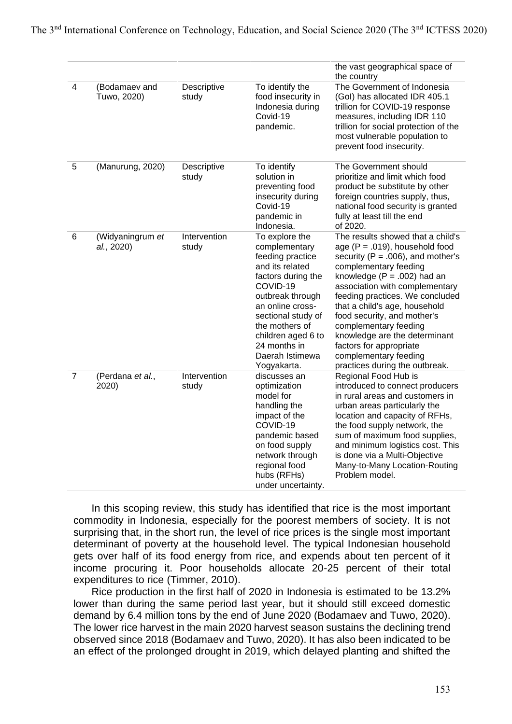|                |                                |                       |                                                                                                                                                                                                                                                                  | the vast geographical space of<br>the country                                                                                                                                                                                                                                                                                                                                                                                                                   |
|----------------|--------------------------------|-----------------------|------------------------------------------------------------------------------------------------------------------------------------------------------------------------------------------------------------------------------------------------------------------|-----------------------------------------------------------------------------------------------------------------------------------------------------------------------------------------------------------------------------------------------------------------------------------------------------------------------------------------------------------------------------------------------------------------------------------------------------------------|
| 4              | (Bodamaev and<br>Tuwo, 2020)   | Descriptive<br>study  | To identify the<br>food insecurity in<br>Indonesia during<br>Covid-19<br>pandemic.                                                                                                                                                                               | The Government of Indonesia<br>(Gol) has allocated IDR 405.1<br>trillion for COVID-19 response<br>measures, including IDR 110<br>trillion for social protection of the<br>most vulnerable population to<br>prevent food insecurity.                                                                                                                                                                                                                             |
| 5              | (Manurung, 2020)               | Descriptive<br>study  | To identify<br>solution in<br>preventing food<br>insecurity during<br>Covid-19<br>pandemic in<br>Indonesia.                                                                                                                                                      | The Government should<br>prioritize and limit which food<br>product be substitute by other<br>foreign countries supply, thus,<br>national food security is granted<br>fully at least till the end<br>of 2020.                                                                                                                                                                                                                                                   |
| 6              | (Widyaningrum et<br>al., 2020) | Intervention<br>study | To explore the<br>complementary<br>feeding practice<br>and its related<br>factors during the<br>COVID-19<br>outbreak through<br>an online cross-<br>sectional study of<br>the mothers of<br>children aged 6 to<br>24 months in<br>Daerah Istimewa<br>Yogyakarta. | The results showed that a child's<br>age ( $P = .019$ ), household food<br>security ( $P = .006$ ), and mother's<br>complementary feeding<br>knowledge $(P = .002)$ had an<br>association with complementary<br>feeding practices. We concluded<br>that a child's age, household<br>food security, and mother's<br>complementary feeding<br>knowledge are the determinant<br>factors for appropriate<br>complementary feeding<br>practices during the outbreak. |
| $\overline{7}$ | (Perdana et al.,<br>2020)      | Intervention<br>study | discusses an<br>optimization<br>model for<br>handling the<br>impact of the<br>COVID-19<br>pandemic based<br>on food supply<br>network through<br>regional food<br>hubs (RFHs)<br>under uncertainty.                                                              | Regional Food Hub is<br>introduced to connect producers<br>in rural areas and customers in<br>urban areas particularly the<br>location and capacity of RFHs,<br>the food supply network, the<br>sum of maximum food supplies,<br>and minimum logistics cost. This<br>is done via a Multi-Objective<br>Many-to-Many Location-Routing<br>Problem model.                                                                                                           |

In this scoping review, this study has identified that rice is the most important commodity in Indonesia, especially for the poorest members of society. It is not surprising that, in the short run, the level of rice prices is the single most important determinant of poverty at the household level. The typical Indonesian household gets over half of its food energy from rice, and expends about ten percent of it income procuring it. Poor households allocate 20-25 percent of their total expenditures to rice (Timmer, 2010).

Rice production in the first half of 2020 in Indonesia is estimated to be 13.2% lower than during the same period last year, but it should still exceed domestic demand by 6.4 million tons by the end of June 2020 (Bodamaev and Tuwo, 2020). The lower rice harvest in the main 2020 harvest season sustains the declining trend observed since 2018 (Bodamaev and Tuwo, 2020). It has also been indicated to be an effect of the prolonged drought in 2019, which delayed planting and shifted the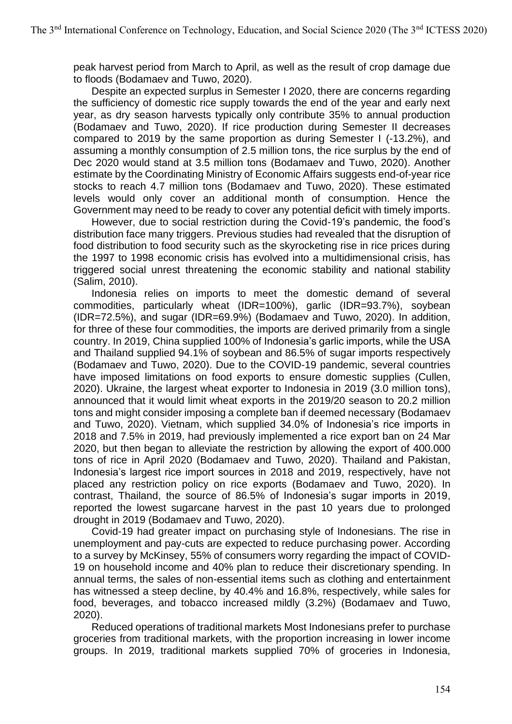peak harvest period from March to April, as well as the result of crop damage due to floods (Bodamaev and Tuwo, 2020).

Despite an expected surplus in Semester I 2020, there are concerns regarding the sufficiency of domestic rice supply towards the end of the year and early next year, as dry season harvests typically only contribute 35% to annual production (Bodamaev and Tuwo, 2020). If rice production during Semester II decreases compared to 2019 by the same proportion as during Semester I (-13.2%), and assuming a monthly consumption of 2.5 million tons, the rice surplus by the end of Dec 2020 would stand at 3.5 million tons (Bodamaev and Tuwo, 2020). Another estimate by the Coordinating Ministry of Economic Affairs suggests end-of-year rice stocks to reach 4.7 million tons (Bodamaev and Tuwo, 2020). These estimated levels would only cover an additional month of consumption. Hence the Government may need to be ready to cover any potential deficit with timely imports.

However, due to social restriction during the Covid-19's pandemic, the food's distribution face many triggers. Previous studies had revealed that the disruption of food distribution to food security such as the skyrocketing rise in rice prices during the 1997 to 1998 economic crisis has evolved into a multidimensional crisis, has triggered social unrest threatening the economic stability and national stability (Salim, 2010).

Indonesia relies on imports to meet the domestic demand of several commodities, particularly wheat (IDR=100%), garlic (IDR=93.7%), soybean (IDR=72.5%), and sugar (IDR=69.9%) (Bodamaev and Tuwo, 2020). In addition, for three of these four commodities, the imports are derived primarily from a single country. In 2019, China supplied 100% of Indonesia's garlic imports, while the USA and Thailand supplied 94.1% of soybean and 86.5% of sugar imports respectively (Bodamaev and Tuwo, 2020). Due to the COVID-19 pandemic, several countries have imposed limitations on food exports to ensure domestic supplies (Cullen, 2020). Ukraine, the largest wheat exporter to Indonesia in 2019 (3.0 million tons), announced that it would limit wheat exports in the 2019/20 season to 20.2 million tons and might consider imposing a complete ban if deemed necessary (Bodamaev and Tuwo, 2020). Vietnam, which supplied 34.0% of Indonesia's rice imports in 2018 and 7.5% in 2019, had previously implemented a rice export ban on 24 Mar 2020, but then began to alleviate the restriction by allowing the export of 400.000 tons of rice in April 2020 (Bodamaev and Tuwo, 2020). Thailand and Pakistan, Indonesia's largest rice import sources in 2018 and 2019, respectively, have not placed any restriction policy on rice exports (Bodamaev and Tuwo, 2020). In contrast, Thailand, the source of 86.5% of Indonesia's sugar imports in 2019, reported the lowest sugarcane harvest in the past 10 years due to prolonged drought in 2019 (Bodamaev and Tuwo, 2020).

Covid-19 had greater impact on purchasing style of Indonesians. The rise in unemployment and pay-cuts are expected to reduce purchasing power. According to a survey by McKinsey, 55% of consumers worry regarding the impact of COVID-19 on household income and 40% plan to reduce their discretionary spending. In annual terms, the sales of non-essential items such as clothing and entertainment has witnessed a steep decline, by 40.4% and 16.8%, respectively, while sales for food, beverages, and tobacco increased mildly (3.2%) (Bodamaev and Tuwo, 2020).

Reduced operations of traditional markets Most Indonesians prefer to purchase groceries from traditional markets, with the proportion increasing in lower income groups. In 2019, traditional markets supplied 70% of groceries in Indonesia,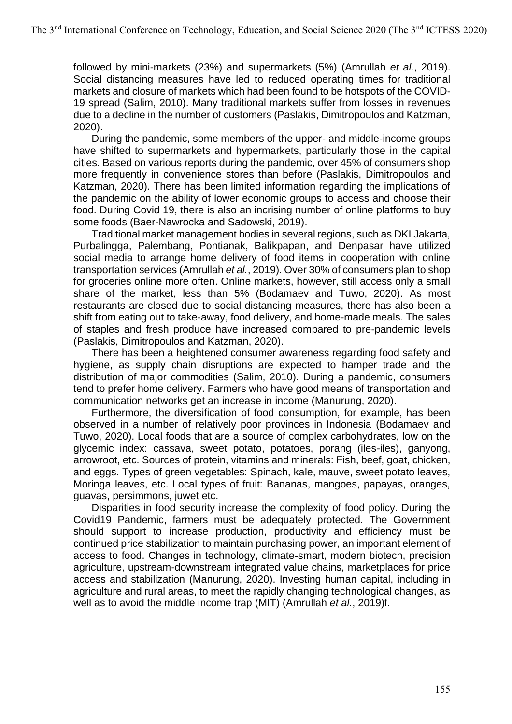followed by mini-markets (23%) and supermarkets (5%) (Amrullah *et al.*, 2019). Social distancing measures have led to reduced operating times for traditional markets and closure of markets which had been found to be hotspots of the COVID-19 spread (Salim, 2010). Many traditional markets suffer from losses in revenues due to a decline in the number of customers (Paslakis, Dimitropoulos and Katzman, 2020).

During the pandemic, some members of the upper- and middle-income groups have shifted to supermarkets and hypermarkets, particularly those in the capital cities. Based on various reports during the pandemic, over 45% of consumers shop more frequently in convenience stores than before (Paslakis, Dimitropoulos and Katzman, 2020). There has been limited information regarding the implications of the pandemic on the ability of lower economic groups to access and choose their food. During Covid 19, there is also an incrising number of online platforms to buy some foods (Baer-Nawrocka and Sadowski, 2019).

Traditional market management bodies in several regions, such as DKI Jakarta, Purbalingga, Palembang, Pontianak, Balikpapan, and Denpasar have utilized social media to arrange home delivery of food items in cooperation with online transportation services (Amrullah *et al.*, 2019). Over 30% of consumers plan to shop for groceries online more often. Online markets, however, still access only a small share of the market, less than 5% (Bodamaev and Tuwo, 2020). As most restaurants are closed due to social distancing measures, there has also been a shift from eating out to take-away, food delivery, and home-made meals. The sales of staples and fresh produce have increased compared to pre-pandemic levels (Paslakis, Dimitropoulos and Katzman, 2020).

There has been a heightened consumer awareness regarding food safety and hygiene, as supply chain disruptions are expected to hamper trade and the distribution of major commodities (Salim, 2010). During a pandemic, consumers tend to prefer home delivery. Farmers who have good means of transportation and communication networks get an increase in income (Manurung, 2020).

Furthermore, the diversification of food consumption, for example, has been observed in a number of relatively poor provinces in Indonesia (Bodamaev and Tuwo, 2020). Local foods that are a source of complex carbohydrates, low on the glycemic index: cassava, sweet potato, potatoes, porang (iles-iles), ganyong, arrowroot, etc. Sources of protein, vitamins and minerals: Fish, beef, goat, chicken, and eggs. Types of green vegetables: Spinach, kale, mauve, sweet potato leaves, Moringa leaves, etc. Local types of fruit: Bananas, mangoes, papayas, oranges, guavas, persimmons, juwet etc.

Disparities in food security increase the complexity of food policy. During the Covid19 Pandemic, farmers must be adequately protected. The Government should support to increase production, productivity and efficiency must be continued price stabilization to maintain purchasing power, an important element of access to food. Changes in technology, climate-smart, modern biotech, precision agriculture, upstream-downstream integrated value chains, marketplaces for price access and stabilization (Manurung, 2020). Investing human capital, including in agriculture and rural areas, to meet the rapidly changing technological changes, as well as to avoid the middle income trap (MIT) (Amrullah *et al.*, 2019)f.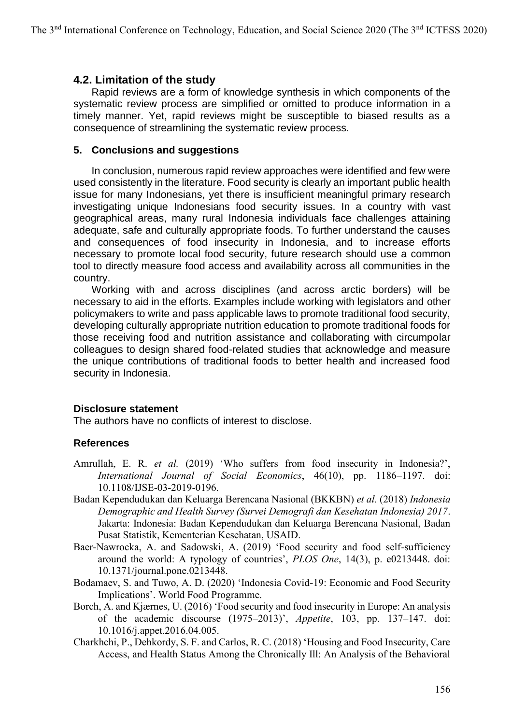### **4.2. Limitation of the study**

Rapid reviews are a form of knowledge synthesis in which components of the systematic review process are simplified or omitted to produce information in a timely manner. Yet, rapid reviews might be susceptible to biased results as a consequence of streamlining the systematic review process.

### **5. Conclusions and suggestions**

In conclusion, numerous rapid review approaches were identified and few were used consistently in the literature. Food security is clearly an important public health issue for many Indonesians, yet there is insufficient meaningful primary research investigating unique Indonesians food security issues. In a country with vast geographical areas, many rural Indonesia individuals face challenges attaining adequate, safe and culturally appropriate foods. To further understand the causes and consequences of food insecurity in Indonesia, and to increase efforts necessary to promote local food security, future research should use a common tool to directly measure food access and availability across all communities in the country.

Working with and across disciplines (and across arctic borders) will be necessary to aid in the efforts. Examples include working with legislators and other policymakers to write and pass applicable laws to promote traditional food security, developing culturally appropriate nutrition education to promote traditional foods for those receiving food and nutrition assistance and collaborating with circumpolar colleagues to design shared food-related studies that acknowledge and measure the unique contributions of traditional foods to better health and increased food security in Indonesia.

### **Disclosure statement**

The authors have no conflicts of interest to disclose.

### **References**

- Amrullah, E. R. *et al.* (2019) 'Who suffers from food insecurity in Indonesia?', *International Journal of Social Economics*, 46(10), pp. 1186–1197. doi: 10.1108/IJSE-03-2019-0196.
- Badan Kependudukan dan Keluarga Berencana Nasional (BKKBN) *et al.* (2018) *Indonesia Demographic and Health Survey (Survei Demografi dan Kesehatan Indonesia) 2017*. Jakarta: Indonesia: Badan Kependudukan dan Keluarga Berencana Nasional, Badan Pusat Statistik, Kementerian Kesehatan, USAID.
- Baer-Nawrocka, A. and Sadowski, A. (2019) 'Food security and food self-sufficiency around the world: A typology of countries', *PLOS One*, 14(3), p. e0213448. doi: 10.1371/journal.pone.0213448.
- Bodamaev, S. and Tuwo, A. D. (2020) 'Indonesia Covid-19: Economic and Food Security Implications'. World Food Programme.
- Borch, A. and Kjærnes, U. (2016) 'Food security and food insecurity in Europe: An analysis of the academic discourse (1975–2013)', *Appetite*, 103, pp. 137–147. doi: 10.1016/j.appet.2016.04.005.
- Charkhchi, P., Dehkordy, S. F. and Carlos, R. C. (2018) 'Housing and Food Insecurity, Care Access, and Health Status Among the Chronically Ill: An Analysis of the Behavioral